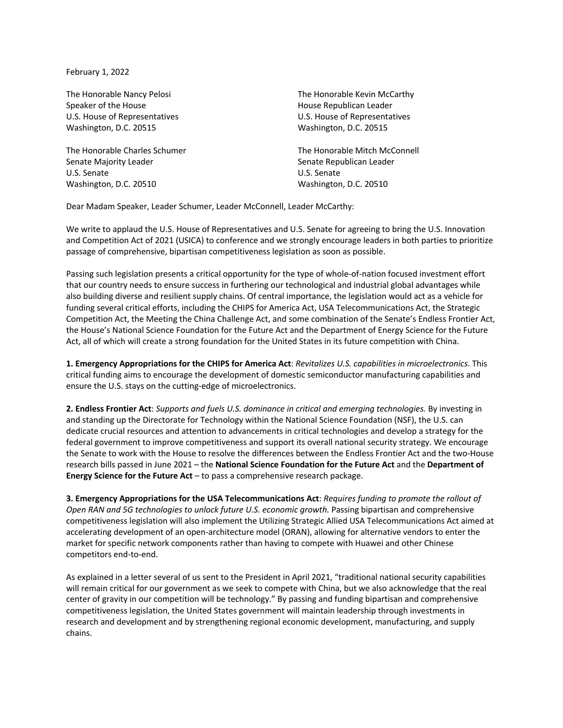February 1, 2022

The Honorable Nancy Pelosi Speaker of the House U.S. House of Representatives Washington, D.C. 20515

The Honorable Charles Schumer Senate Majority Leader U.S. Senate Washington, D.C. 20510

The Honorable Kevin McCarthy House Republican Leader U.S. House of Representatives Washington, D.C. 20515

The Honorable Mitch McConnell Senate Republican Leader U.S. Senate Washington, D.C. 20510

Dear Madam Speaker, Leader Schumer, Leader McConnell, Leader McCarthy:

We write to applaud the U.S. House of Representatives and U.S. Senate for agreeing to bring the U.S. Innovation and Competition Act of 2021 (USICA) to conference and we strongly encourage leaders in both parties to prioritize passage of comprehensive, bipartisan competitiveness legislation as soon as possible.

Passing such legislation presents a critical opportunity for the type of whole-of-nation focused investment effort that our country needs to ensure success in furthering our technological and industrial global advantages while also building diverse and resilient supply chains. Of central importance, the legislation would act as a vehicle for funding several critical efforts, including the CHIPS for America Act, USA Telecommunications Act, the Strategic Competition Act, the Meeting the China Challenge Act, and some combination of the Senate's Endless Frontier Act, the House's National Science Foundation for the Future Act and the Department of Energy Science for the Future Act, all of which will create a strong foundation for the United States in its future competition with China.

**1. Emergency Appropriations for the CHIPS for America Act**: *Revitalizes U.S. capabilities in microelectronics*. This critical funding aims to encourage the development of domestic semiconductor manufacturing capabilities and ensure the U.S. stays on the cutting-edge of microelectronics.

**2. Endless Frontier Act**: *Supports and fuels U.S. dominance in critical and emerging technologies.* By investing in and standing up the Directorate for Technology within the National Science Foundation (NSF), the U.S. can dedicate crucial resources and attention to advancements in critical technologies and develop a strategy for the federal government to improve competitiveness and support its overall national security strategy. We encourage the Senate to work with the House to resolve the differences between the Endless Frontier Act and the two-House research bills passed in June 2021 – the **National Science Foundation for the Future Act** and the **Department of Energy Science for the Future Act** – to pass a comprehensive research package.

**3. Emergency Appropriations for the USA Telecommunications Act**: *Requires funding to promote the rollout of Open RAN and 5G technologies to unlock future U.S. economic growth.* Passing bipartisan and comprehensive competitiveness legislation will also implement the Utilizing Strategic Allied USA Telecommunications Act aimed at accelerating development of an open-architecture model (ORAN), allowing for alternative vendors to enter the market for specific network components rather than having to compete with Huawei and other Chinese competitors end-to-end.

As explained in a letter several of us sent to the President in April 2021, "traditional national security capabilities will remain critical for our government as we seek to compete with China, but we also acknowledge that the real center of gravity in our competition will be technology." By passing and funding bipartisan and comprehensive competitiveness legislation, the United States government will maintain leadership through investments in research and development and by strengthening regional economic development, manufacturing, and supply chains.